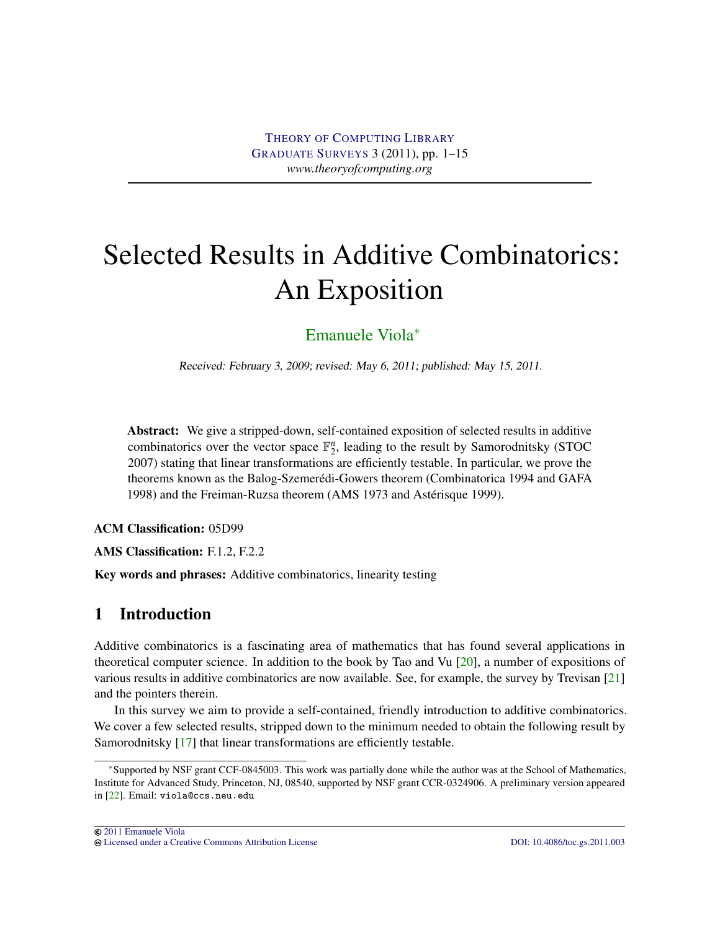# <span id="page-0-0"></span>Selected Results in Additive Combinatorics: An Exposition

# [Emanuele Viola](#page-14-0)<sup>∗</sup>

Received: February 3, 2009; revised: May 6, 2011; published: May 15, 2011.

Abstract: We give a stripped-down, self-contained exposition of selected results in additive combinatorics over the vector space  $\mathbb{F}_2^n$ , leading to the result by Samorodnitsky (STOC) 2007) stating that linear transformations are efficiently testable. In particular, we prove the theorems known as the Balog-Szemerédi-Gowers theorem (Combinatorica 1994 and GAFA 1998) and the Freiman-Ruzsa theorem (AMS 1973 and Astérisque 1999).

ACM Classification: 05D99

AMS Classification: F.1.2, F.2.2

Key words and phrases: Additive combinatorics, linearity testing

# 1 Introduction

Additive combinatorics is a fascinating area of mathematics that has found several applications in theoretical computer science. In addition to the book by Tao and Vu [\[20\]](#page-13-0), a number of expositions of various results in additive combinatorics are now available. See, for example, the survey by Trevisan [\[21\]](#page-13-1) and the pointers therein.

In this survey we aim to provide a self-contained, friendly introduction to additive combinatorics. We cover a few selected results, stripped down to the minimum needed to obtain the following result by Samorodnitsky [\[17\]](#page-13-2) that linear transformations are efficiently testable.

<sup>∗</sup>Supported by NSF grant CCF-0845003. This work was partially done while the author was at the School of Mathematics, Institute for Advanced Study, Princeton, NJ, 08540, supported by NSF grant CCR-0324906. A preliminary version appeared in [\[22\]](#page-13-3). Email: viola@ccs.neu.edu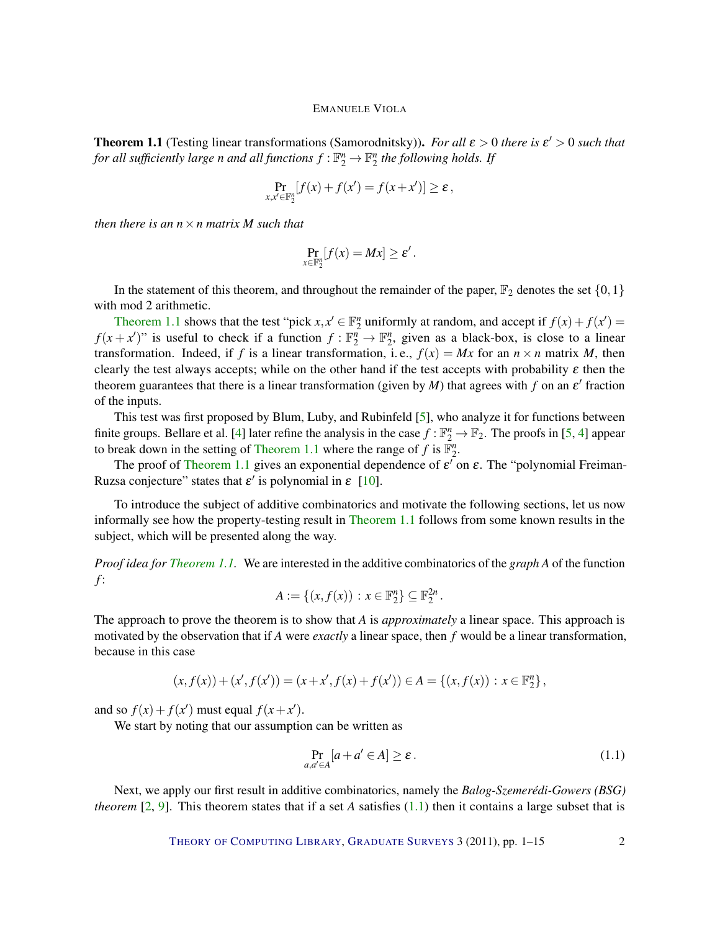<span id="page-1-2"></span><span id="page-1-0"></span>**Theorem 1.1** (Testing linear transformations (Samorodnitsky)). For all  $\varepsilon > 0$  there is  $\varepsilon' > 0$  such that for all sufficiently large n and all functions  $f:\mathbb{F}_2^n \to \mathbb{F}_2^n$  the following holds. If

$$
\Pr_{x,x'\in\mathbb{F}_2^n}[f(x)+f(x')=f(x+x')] \geq \varepsilon,
$$

*then there is an n*×*n matrix M such that*

$$
\Pr_{x\in\mathbb{F}_2^n}[f(x)=Mx]\geq \varepsilon'.
$$

In the statement of this theorem, and throughout the remainder of the paper,  $\mathbb{F}_2$  denotes the set  $\{0,1\}$ with mod 2 arithmetic.

[Theorem](#page-1-0) [1.1](#page-1-0) shows that the test "pick  $x, x' \in \mathbb{F}_2^n$  uniformly at random, and accept if  $f(x) + f(x') =$  $f(x + x')$ " is useful to check if a function  $f: \mathbb{F}_2^n \to \mathbb{F}_2^n$ , given as a black-box, is close to a linear transformation. Indeed, if *f* is a linear transformation, i.e.,  $f(x) = Mx$  for an  $n \times n$  matrix *M*, then clearly the test always accepts; while on the other hand if the test accepts with probability  $\varepsilon$  then the theorem guarantees that there is a linear transformation (given by  $M$ ) that agrees with  $f$  on an  $\varepsilon'$  fraction of the inputs.

This test was first proposed by Blum, Luby, and Rubinfeld [\[5\]](#page-12-0), who analyze it for functions between finite groups. Bellare et al. [\[4\]](#page-12-1) later refine the analysis in the case  $f : \mathbb{F}_2^n \to \mathbb{F}_2$ . The proofs in [\[5,](#page-12-0) [4\]](#page-12-1) appear to break down in the setting of [Theorem](#page-1-0) [1.1](#page-1-0) where the range of  $f$  is  $\mathbb{F}_2^n$ .

The proof of [Theorem](#page-1-0) [1.1](#page-1-0) gives an exponential dependence of  $\varepsilon'$  on  $\varepsilon$ . The "polynomial Freiman-Ruzsa conjecture" states that  $\varepsilon'$  is polynomial in  $\varepsilon$  [\[10\]](#page-13-4).

To introduce the subject of additive combinatorics and motivate the following sections, let us now informally see how the property-testing result in [Theorem](#page-1-0) [1.1](#page-1-0) follows from some known results in the subject, which will be presented along the way.

*Proof idea for [Theorem](#page-1-0) [1.1.](#page-1-0)* We are interested in the additive combinatorics of the *graph A* of the function *f* :

$$
A:=\{(x,f(x)):x\in\mathbb{F}_2^n\}\subseteq\mathbb{F}_2^{2n}.
$$

The approach to prove the theorem is to show that *A* is *approximately* a linear space. This approach is motivated by the observation that if *A* were *exactly* a linear space, then *f* would be a linear transformation, because in this case

$$
(x, f(x)) + (x', f(x')) = (x + x', f(x) + f(x')) \in A = \{(x, f(x)) : x \in \mathbb{F}_2^n\},\
$$

and so  $f(x) + f(x')$  must equal  $f(x + x')$ .

We start by noting that our assumption can be written as

<span id="page-1-1"></span>
$$
\Pr_{a,a' \in A}[a+a' \in A] \ge \varepsilon.
$$
\n(1.1)

Next, we apply our first result in additive combinatorics, namely the *Balog-Szemeredi-Gowers (BSG) ´ theorem*  $[2, 9]$  $[2, 9]$  $[2, 9]$ . This theorem states that if a set *A* satisfies  $(1.1)$  then it contains a large subset that is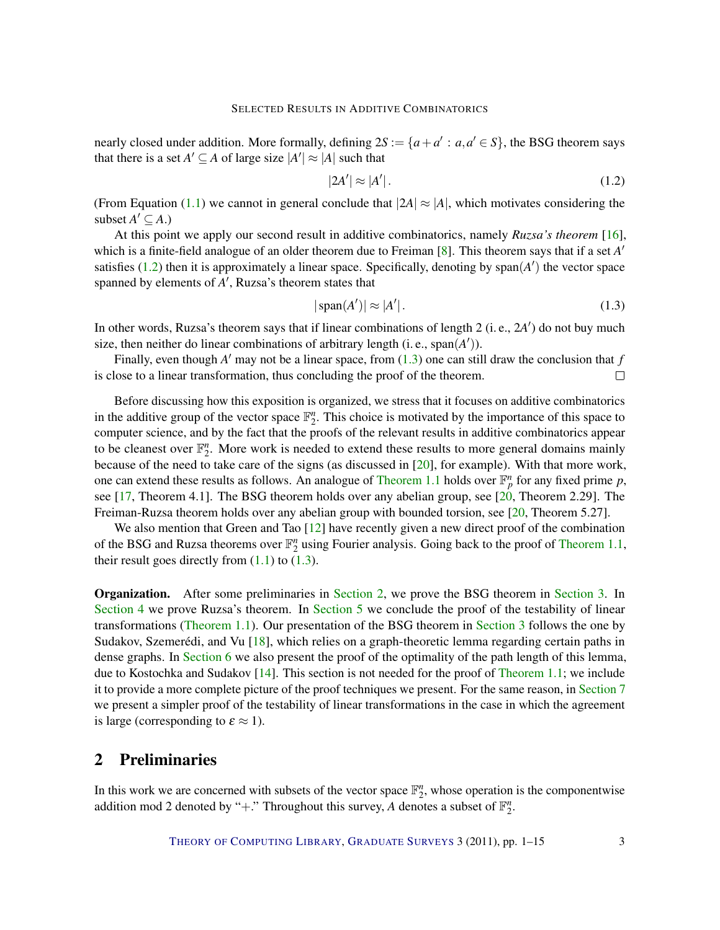<span id="page-2-3"></span>nearly closed under addition. More formally, defining  $2S := \{a + a' : a, a' \in S\}$ , the BSG theorem says that there is a set  $A' \subseteq A$  of large size  $|A'| \approx |A|$  such that

<span id="page-2-0"></span>
$$
|2A'| \approx |A'|.\tag{1.2}
$$

(From Equation [\(1.1\)](#page-1-1) we cannot in general conclude that  $|2A| \approx |A|$ , which motivates considering the subset  $A' \subseteq A$ .)

At this point we apply our second result in additive combinatorics, namely *Ruzsa's theorem* [\[16\]](#page-13-6), which is a finite-field analogue of an older theorem due to Freiman [\[8\]](#page-13-7). This theorem says that if a set *A'* satisfies  $(1.2)$  then it is approximately a linear space. Specifically, denoting by span $(A')$  the vector space spanned by elements of A', Ruzsa's theorem states that

<span id="page-2-1"></span>
$$
|\operatorname{span}(A')| \approx |A'|.\tag{1.3}
$$

In other words, Ruzsa's theorem says that if linear combinations of length 2 (i. e., 2A<sup>'</sup>) do not buy much size, then neither do linear combinations of arbitrary length  $(i.e., span(A'))$ .

Finally, even though  $A'$  may not be a linear space, from  $(1.3)$  one can still draw the conclusion that  $f$ is close to a linear transformation, thus concluding the proof of the theorem.  $\Box$ 

Before discussing how this exposition is organized, we stress that it focuses on additive combinatorics in the additive group of the vector space  $\mathbb{F}_2^n$ . This choice is motivated by the importance of this space to computer science, and by the fact that the proofs of the relevant results in additive combinatorics appear to be cleanest over  $\mathbb{F}_2^n$ . More work is needed to extend these results to more general domains mainly because of the need to take care of the signs (as discussed in [\[20\]](#page-13-0), for example). With that more work, one can extend these results as follows. An analogue of [Theorem](#page-1-0) [1.1](#page-1-0) holds over  $\mathbb{F}_p^n$  for any fixed prime p, see [\[17,](#page-13-2) Theorem 4.1]. The BSG theorem holds over any abelian group, see [\[20,](#page-13-0) Theorem 2.29]. The Freiman-Ruzsa theorem holds over any abelian group with bounded torsion, see [\[20,](#page-13-0) Theorem 5.27].

We also mention that Green and Tao [\[12\]](#page-13-8) have recently given a new direct proof of the combination of the BSG and Ruzsa theorems over  $\mathbb{F}_2^n$  using Fourier analysis. Going back to the proof of [Theorem](#page-1-0) [1.1,](#page-1-0) their result goes directly from  $(1.1)$  to  $(1.3)$ .

Organization. After some preliminaries in [Section](#page-2-2) [2,](#page-2-2) we prove the BSG theorem in [Section](#page-3-0) [3.](#page-3-0) In [Section](#page-5-0) [4](#page-5-0) we prove Ruzsa's theorem. In [Section](#page-7-0) [5](#page-7-0) we conclude the proof of the testability of linear transformations [\(Theorem](#page-1-0) [1.1\)](#page-1-0). Our presentation of the BSG theorem in [Section](#page-3-0) [3](#page-3-0) follows the one by Sudakov, Szemerédi, and Vu  $[18]$  $[18]$ , which relies on a graph-theoretic lemma regarding certain paths in dense graphs. In [Section](#page-9-0) [6](#page-9-0) we also present the proof of the optimality of the path length of this lemma, due to Kostochka and Sudakov [\[14\]](#page-13-10). This section is not needed for the proof of [Theorem](#page-1-0) [1.1;](#page-1-0) we include it to provide a more complete picture of the proof techniques we present. For the same reason, in [Section](#page-11-0) [7](#page-11-0) we present a simpler proof of the testability of linear transformations in the case in which the agreement is large (corresponding to  $\varepsilon \approx 1$ ).

## <span id="page-2-2"></span>2 Preliminaries

In this work we are concerned with subsets of the vector space  $\mathbb{F}_2^n$ , whose operation is the componentwise addition mod 2 denoted by "+." Throughout this survey, A denotes a subset of  $\mathbb{F}_2^n$ .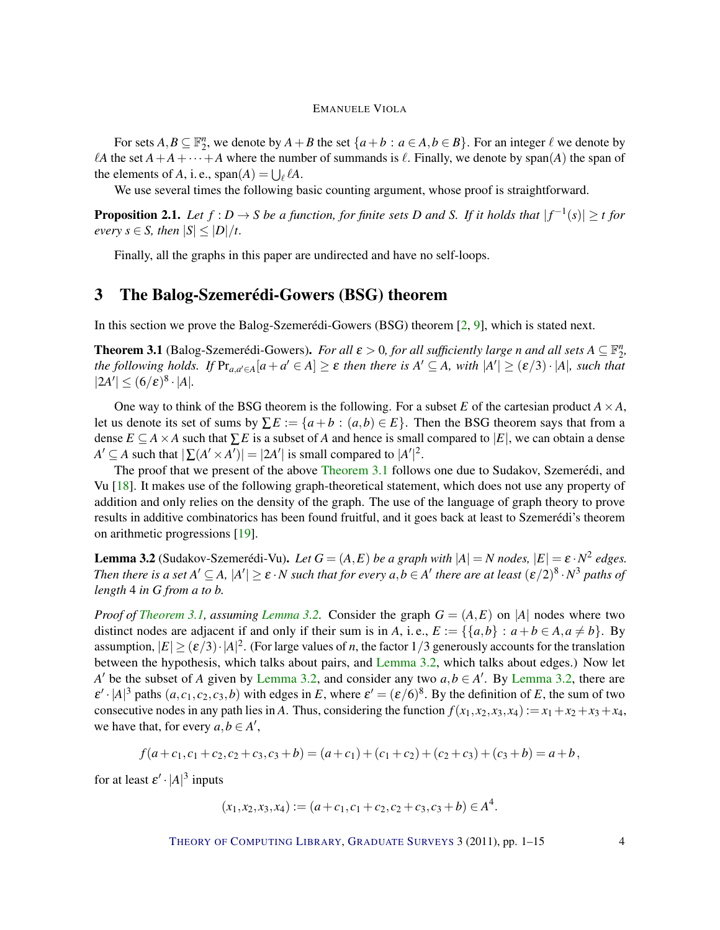<span id="page-3-4"></span>For sets  $A, B \subseteq \mathbb{F}_2^n$ , we denote by  $A + B$  the set  $\{a+b : a \in A, b \in B\}$ . For an integer  $\ell$  we denote by *A* the set  $A + A + \cdots + A$  where the number of summands is  $\ell$ . Finally, we denote by span(*A*) the span of the elements of *A*, i. e.,  $\text{span}(A) = \bigcup_{\ell} \ell A$ .

We use several times the following basic counting argument, whose proof is straightforward.

<span id="page-3-3"></span>**Proposition 2.1.** Let  $f: D \to S$  be a function, for finite sets D and S. If it holds that  $|f^{-1}(s)| \ge t$  for *every*  $s \in S$ *, then*  $|S| \leq |D|/t$ *.* 

Finally, all the graphs in this paper are undirected and have no self-loops.

# <span id="page-3-0"></span>3 The Balog-Szemerédi-Gowers (BSG) theorem

In this section we prove the Balog-Szemerédi-Gowers (BSG) theorem  $[2, 9]$  $[2, 9]$  $[2, 9]$  $[2, 9]$ , which is stated next.

<span id="page-3-1"></span>**Theorem 3.1** (Balog-Szemerédi-Gowers). For all  $\varepsilon > 0$ , for all sufficiently large *n* and all sets  $A \subseteq \mathbb{F}_2^n$ , *the following holds.* If  $Pr_{a,a'\in A}[a+a'\in A]\geq \varepsilon$  *then there is*  $A'\subseteq A$ *, with*  $|A'|\geq (\varepsilon/3)\cdot|A|$ *, such that*  $|2A'| \leq (6/\varepsilon)^8 \cdot |A|.$ 

One way to think of the BSG theorem is the following. For a subset *E* of the cartesian product  $A \times A$ , let us denote its set of sums by  $\Sigma E := \{a + b : (a, b) \in E\}$ . Then the BSG theorem says that from a dense  $E \subseteq A \times A$  such that  $\sum E$  is a subset of *A* and hence is small compared to  $|E|$ , we can obtain a dense  $A' \subseteq A$  such that  $|\sum (A' \times A')| = |2A'|$  is small compared to  $|A'|^2$ .

The proof that we present of the above [Theorem](#page-3-1) [3.1](#page-3-1) follows one due to Sudakov, Szemerédi, and Vu [\[18\]](#page-13-9). It makes use of the following graph-theoretical statement, which does not use any property of addition and only relies on the density of the graph. The use of the language of graph theory to prove results in additive combinatorics has been found fruitful, and it goes back at least to Szemerédi's theorem on arithmetic progressions [\[19\]](#page-13-11).

<span id="page-3-2"></span>**Lemma 3.2** (Sudakov-Szemerédi-Vu). Let  $G = (A, E)$  be a graph with  $|A| = N$  nodes,  $|E| = \varepsilon \cdot N^2$  edges. *Then there is a set*  $A' \subseteq A$ ,  $|A'| \ge \varepsilon \cdot N$  *such that for every*  $a,b \in A'$  *there are at least*  $(\varepsilon/2)^8 \cdot N^3$  *paths of length* 4 *in G from a to b.*

*Proof of [Theorem](#page-3-1)* [3.1,](#page-3-1) *assuming [Lemma](#page-3-2)* [3.2.](#page-3-2) Consider the graph  $G = (A, E)$  on |A| nodes where two distinct nodes are adjacent if and only if their sum is in *A*, i.e.,  $E := \{ \{a, b\} : a + b \in A, a \neq b \}$ . By assumption,  $|E| \ge (\varepsilon/3) \cdot |A|^2$ . (For large values of *n*, the factor 1/3 generously accounts for the translation between the hypothesis, which talks about pairs, and [Lemma](#page-3-2) [3.2,](#page-3-2) which talks about edges.) Now let *A'* be the subset of *A* given by [Lemma](#page-3-2) [3.2,](#page-3-2) and consider any two  $a, b \in A'$ . By Lemma 3.2, there are  $\varepsilon' \cdot |A|^3$  paths  $(a, c_1, c_2, c_3, b)$  with edges in *E*, where  $\varepsilon' = (\varepsilon/6)^8$ . By the definition of *E*, the sum of two consecutive nodes in any path lies in *A*. Thus, considering the function  $f(x_1, x_2, x_3, x_4) := x_1 + x_2 + x_3 + x_4$ , we have that, for every  $a, b \in A'$ ,

$$
f(a+c_1, c_1+c_2, c_2+c_3, c_3+b) = (a+c_1)+(c_1+c_2)+(c_2+c_3)+(c_3+b) = a+b,
$$

for at least  $\varepsilon' \cdot |A|^3$  inputs

$$
(x_1, x_2, x_3, x_4) := (a + c_1, c_1 + c_2, c_2 + c_3, c_3 + b) \in A^4.
$$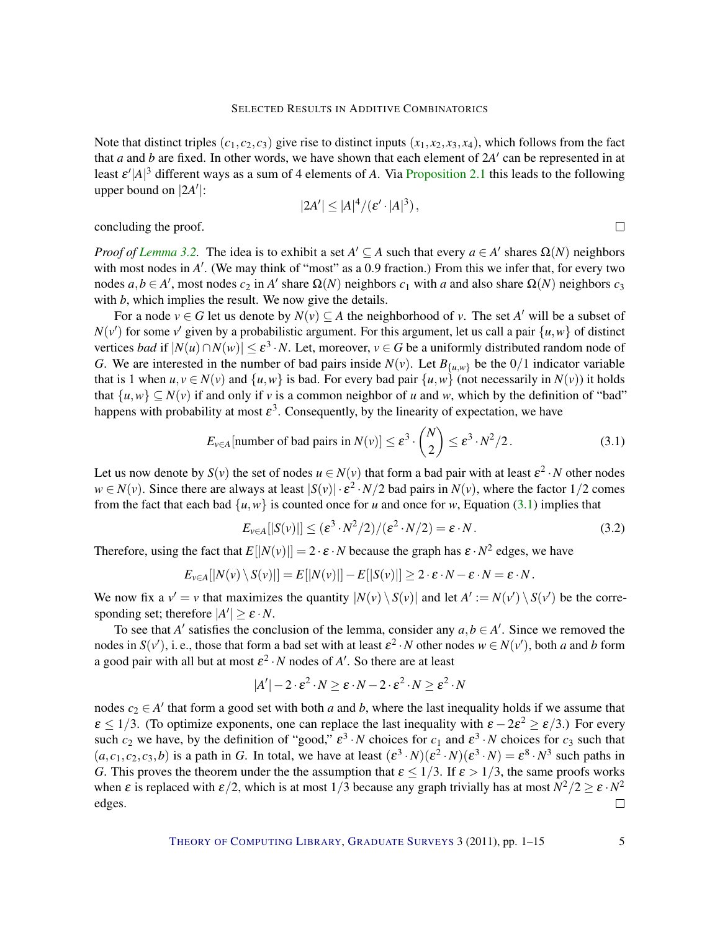Note that distinct triples  $(c_1, c_2, c_3)$  give rise to distinct inputs  $(x_1, x_2, x_3, x_4)$ , which follows from the fact that  $a$  and  $b$  are fixed. In other words, we have shown that each element of  $2A'$  can be represented in at least  $\varepsilon' |A|^3$  different ways as a sum of 4 elements of *A*. Via [Proposition](#page-3-3) [2.1](#page-3-3) this leads to the following upper bound on  $|2A'|$ :

$$
|2A'| \le |A|^4/(\varepsilon' \cdot |A|^3),
$$

concluding the proof.

*Proof of [Lemma](#page-3-2)* [3.2.](#page-3-2) The idea is to exhibit a set  $A' \subseteq A$  such that every  $a \in A'$  shares  $\Omega(N)$  neighbors with most nodes in A'. (We may think of "most" as a 0.9 fraction.) From this we infer that, for every two nodes  $a, b \in A'$ , most nodes  $c_2$  in  $A'$  share  $\Omega(N)$  neighbors  $c_1$  with *a* and also share  $\Omega(N)$  neighbors  $c_3$ with *b*, which implies the result. We now give the details.

For a node  $v \in G$  let us denote by  $N(v) \subseteq A$  the neighborhood of *v*. The set *A'* will be a subset of  $N(v')$  for some v' given by a probabilistic argument. For this argument, let us call a pair  $\{u, w\}$  of distinct vertices *bad* if  $|N(u) \cap N(w)| \le \varepsilon^3 \cdot N$ . Let, moreover,  $v \in G$  be a uniformly distributed random node of *G*. We are interested in the number of bad pairs inside  $N(v)$ . Let  $B_{\{u,v\}}$  be the 0/1 indicator variable that is 1 when  $u, v \in N(v)$  and  $\{u, w\}$  is bad. For every bad pair  $\{u, w\}$  (not necessarily in  $N(v)$ ) it holds that  $\{u, w\} \subset N(v)$  if and only if *v* is a common neighbor of *u* and *w*, which by the definition of "bad" happens with probability at most  $\varepsilon^3$ . Consequently, by the linearity of expectation, we have

<span id="page-4-0"></span>
$$
E_{\nu \in A}[\text{number of bad pairs in } N(\nu)] \le \varepsilon^3 \cdot {N \choose 2} \le \varepsilon^3 \cdot N^2/2. \tag{3.1}
$$

Let us now denote by  $S(v)$  the set of nodes  $u \in N(v)$  that form a bad pair with at least  $\varepsilon^2 \cdot N$  other nodes  $w \in N(v)$ . Since there are always at least  $|S(v)| \cdot \varepsilon^2 \cdot N/2$  bad pairs in  $N(v)$ , where the factor 1/2 comes from the fact that each bad  $\{u, w\}$  is counted once for *u* and once for *w*, Equation [\(3.1\)](#page-4-0) implies that

$$
E_{\nu \in A} [|S(\nu)|] \le (\varepsilon^3 \cdot N^2/2) / (\varepsilon^2 \cdot N/2) = \varepsilon \cdot N. \tag{3.2}
$$

Therefore, using the fact that  $E[|N(v)|] = 2 \cdot \varepsilon \cdot N$  because the graph has  $\varepsilon \cdot N^2$  edges, we have

$$
E_{v\in A}[|N(v)\setminus S(v)|] = E[|N(v)|] - E[|S(v)|] \geq 2 \cdot \varepsilon \cdot N - \varepsilon \cdot N = \varepsilon \cdot N.
$$

We now fix a  $v' = v$  that maximizes the quantity  $|N(v) \setminus S(v)|$  and let  $A' := N(v') \setminus S(v')$  be the corresponding set; therefore  $|A'| \ge \varepsilon \cdot N$ .

To see that *A'* satisfies the conclusion of the lemma, consider any  $a, b \in A'$ . Since we removed the nodes in  $S(v')$ , i. e., those that form a bad set with at least  $\varepsilon^2 \cdot N$  other nodes  $w \in N(v')$ , both *a* and *b* form a good pair with all but at most  $\varepsilon^2 \cdot N$  nodes of A'. So there are at least

$$
|A'|-2 \cdot \varepsilon^2 \cdot N \ge \varepsilon \cdot N - 2 \cdot \varepsilon^2 \cdot N \ge \varepsilon^2 \cdot N
$$

nodes  $c_2 \in A'$  that form a good set with both *a* and *b*, where the last inequality holds if we assume that  $\varepsilon \leq 1/3$ . (To optimize exponents, one can replace the last inequality with  $\varepsilon - 2\varepsilon^2 \geq \varepsilon/3$ .) For every such  $c_2$  we have, by the definition of "good,"  $\varepsilon^3 \cdot N$  choices for  $c_1$  and  $\varepsilon^3 \cdot N$  choices for  $c_3$  such that  $(a, c_1, c_2, c_3, b)$  is a path in *G*. In total, we have at least  $(\varepsilon^3 \cdot N)(\varepsilon^2 \cdot N)(\varepsilon^3 \cdot N) = \varepsilon^8 \cdot N^3$  such paths in *G*. This proves the theorem under the the assumption that  $\varepsilon \leq 1/3$ . If  $\varepsilon > 1/3$ , the same proofs works when  $\varepsilon$  is replaced with  $\varepsilon/2$ , which is at most 1/3 because any graph trivially has at most  $N^2/2 \ge \varepsilon \cdot N^2$ edges.  $\Box$ 

 $\Box$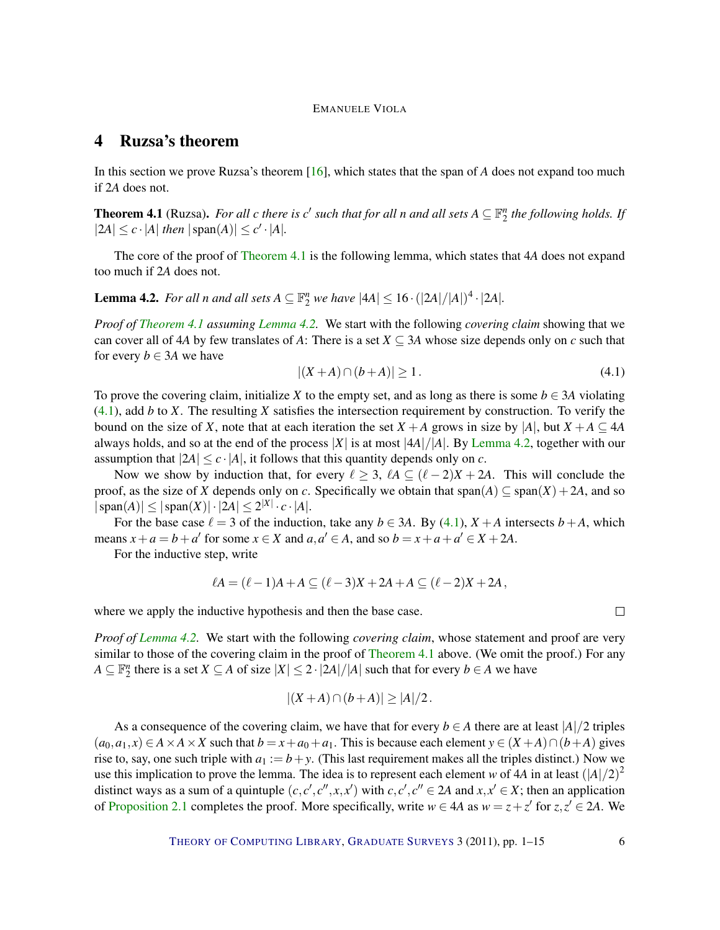# <span id="page-5-4"></span><span id="page-5-0"></span>4 Ruzsa's theorem

In this section we prove Ruzsa's theorem [\[16\]](#page-13-6), which states that the span of *A* does not expand too much if 2*A* does not.

<span id="page-5-1"></span>**Theorem 4.1** (Ruzsa). For all *c* there is *c'* such that for all *n* and all sets  $A \subseteq \mathbb{F}_2^n$  the following holds. If  $|2A| \leq c \cdot |A|$  *then*  $|\text{span}(A)| \leq c' \cdot |A|$ *.* 

The core of the proof of [Theorem](#page-5-1) [4.1](#page-5-1) is the following lemma, which states that 4*A* does not expand too much if 2*A* does not.

<span id="page-5-2"></span>**Lemma 4.2.** For all n and all sets  $A \subseteq \mathbb{F}_2^n$  we have  $|4A| \leq 16 \cdot (|2A|/|A|)^4 \cdot |2A|$ .

*Proof of [Theorem](#page-5-1) [4.1](#page-5-1) assuming [Lemma](#page-5-2) [4.2.](#page-5-2)* We start with the following *covering claim* showing that we can cover all of 4*A* by few translates of *A*: There is a set  $X \subseteq 3A$  whose size depends only on *c* such that for every  $b \in 3A$  we have

<span id="page-5-3"></span>
$$
|(X+A)\cap (b+A)| \ge 1.
$$
 (4.1)

To prove the covering claim, initialize X to the empty set, and as long as there is some  $b \in 3A$  violating [\(4.1\)](#page-5-3), add *b* to *X*. The resulting *X* satisfies the intersection requirement by construction. To verify the bound on the size of *X*, note that at each iteration the set  $X + A$  grows in size by  $|A|$ , but  $X + A \subseteq 4A$ always holds, and so at the end of the process  $|X|$  is at most  $|4A|/|A|$ . By [Lemma](#page-5-2) [4.2,](#page-5-2) together with our assumption that  $|2A| \leq c \cdot |A|$ , it follows that this quantity depends only on *c*.

Now we show by induction that, for every  $\ell \geq 3$ ,  $\ell A \subseteq (\ell - 2)X + 2A$ . This will conclude the proof, as the size of *X* depends only on *c*. Specifically we obtain that span(*A*)  $\subseteq$  span(*X*) + 2*A*, and so  $|\operatorname{span}(A)| \leq |\operatorname{span}(X)| \cdot |2A| \leq 2^{|X|} \cdot c \cdot |A|.$ 

For the base case  $\ell = 3$  of the induction, take any  $b \in 3A$ . By [\(4.1\)](#page-5-3),  $X + A$  intersects  $b + A$ , which means  $x + a = b + a'$  for some  $x \in X$  and  $a, a' \in A$ , and so  $b = x + a + a' \in X + 2A$ .

For the inductive step, write

$$
\ell A = (\ell - 1)A + A \subseteq (\ell - 3)X + 2A + A \subseteq (\ell - 2)X + 2A,
$$

where we apply the inductive hypothesis and then the base case.

*Proof of [Lemma](#page-5-2) [4.2.](#page-5-2)* We start with the following *covering claim*, whose statement and proof are very similar to those of the covering claim in the proof of [Theorem](#page-5-1) [4.1](#page-5-1) above. (We omit the proof.) For any *A* ⊆  $\mathbb{F}_2^n$  there is a set *X* ⊆ *A* of size  $|X|$  ≤ 2 ·  $|2A|/|A|$  such that for every *b* ∈ *A* we have

$$
|(X+A)\cap (b+A)|\geq |A|/2.
$$

As a consequence of the covering claim, we have that for every  $b \in A$  there are at least  $|A|/2$  triples  $(a_0, a_1, x) \in A \times A \times X$  such that  $b = x + a_0 + a_1$ . This is because each element  $y \in (X + A) \cap (b + A)$  gives rise to, say, one such triple with  $a_1 := b + y$ . (This last requirement makes all the triples distinct.) Now we use this implication to prove the lemma. The idea is to represent each element *w* of 4*A* in at least  $(|A|/2)^2$ distinct ways as a sum of a quintuple  $(c, c', c'', x, x')$  with  $c, c', c'' \in 2A$  and  $x, x' \in X$ ; then an application of [Proposition](#page-3-3) [2.1](#page-3-3) completes the proof. More specifically, write  $w \in 4A$  as  $w = z + z'$  for  $z, z' \in 2A$ . We

 $\Box$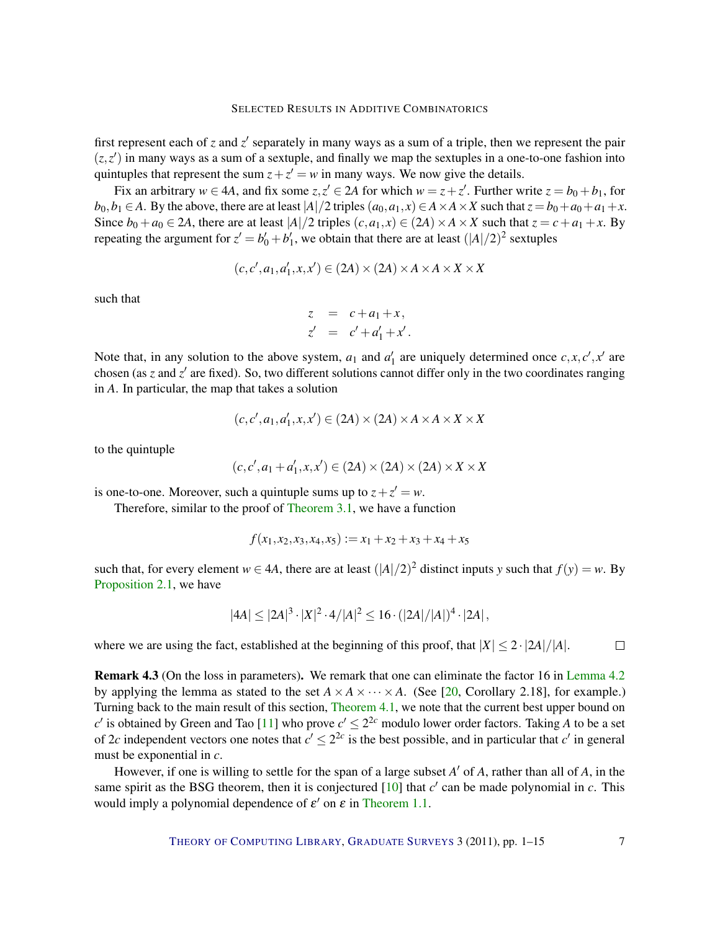<span id="page-6-0"></span>first represent each of  $z$  and  $z'$  separately in many ways as a sum of a triple, then we represent the pair  $(z, z')$  in many ways as a sum of a sextuple, and finally we map the sextuples in a one-to-one fashion into quintuples that represent the sum  $z + z' = w$  in many ways. We now give the details.

Fix an arbitrary  $w \in 4A$ , and fix some  $z, z' \in 2A$  for which  $w = z + z'$ . Further write  $z = b_0 + b_1$ , for  $b_0, b_1 \in A$ . By the above, there are at least  $|A|/2$  triples  $(a_0, a_1, x) \in A \times A \times X$  such that  $z = b_0 + a_0 + a_1 + x$ . Since  $b_0 + a_0 \in 2A$ , there are at least  $|A|/2$  triples  $(c, a_1, x) \in (2A) \times A \times X$  such that  $z = c + a_1 + x$ . By repeating the argument for  $z' = b'_0 + b'_1$ , we obtain that there are at least  $(|A|/2)^2$  sextuples

$$
(c, c', a_1, a'_1, x, x') \in (2A) \times (2A) \times A \times A \times X \times X
$$

such that

$$
z = c + a_1 + x,
$$
  
\n
$$
z' = c' + a'_1 + x'.
$$

Note that, in any solution to the above system,  $a_1$  and  $a'_1$  are uniquely determined once  $c, x, c', x'$  are chosen (as  $z$  and  $z'$  are fixed). So, two different solutions cannot differ only in the two coordinates ranging in *A*. In particular, the map that takes a solution

$$
(c, c', a_1, a'_1, x, x') \in (2A) \times (2A) \times A \times A \times X \times X
$$

to the quintuple

$$
(c, c', a_1 + a'_1, x, x') \in (2A) \times (2A) \times (2A) \times X \times X
$$

is one-to-one. Moreover, such a quintuple sums up to  $z + z' = w$ .

Therefore, similar to the proof of [Theorem](#page-3-1) [3.1,](#page-3-1) we have a function

$$
f(x_1,x_2,x_3,x_4,x_5) := x_1 + x_2 + x_3 + x_4 + x_5
$$

such that, for every element  $w \in 4A$ , there are at least  $(|A|/2)^2$  distinct inputs *y* such that  $f(y) = w$ . By [Proposition](#page-3-3) [2.1,](#page-3-3) we have

$$
|4A| \le |2A|^3 \cdot |X|^2 \cdot 4/|A|^2 \le 16 \cdot (|2A|/|A|)^4 \cdot |2A|,
$$

where we are using the fact, established at the beginning of this proof, that  $|X| \leq 2 \cdot |2A|/|A|$ .  $\Box$ 

Remark 4.3 (On the loss in parameters). We remark that one can eliminate the factor 16 in [Lemma](#page-5-2) [4.2](#page-5-2) by applying the lemma as stated to the set  $A \times A \times \cdots \times A$ . (See [\[20,](#page-13-0) Corollary 2.18], for example.) Turning back to the main result of this section, [Theorem](#page-5-1) [4.1,](#page-5-1) we note that the current best upper bound on  $c'$  is obtained by Green and Tao [\[11\]](#page-13-12) who prove  $c' \leq 2^{2c}$  modulo lower order factors. Taking *A* to be a set of 2*c* independent vectors one notes that  $c' \leq 2^{2c}$  is the best possible, and in particular that  $c'$  in general must be exponential in *c*.

However, if one is willing to settle for the span of a large subset *A'* of *A*, rather than all of *A*, in the same spirit as the BSG theorem, then it is conjectured  $[10]$  that  $c'$  can be made polynomial in  $c$ . This would imply a polynomial dependence of  $\varepsilon'$  on  $\varepsilon$  in [Theorem](#page-1-0) [1.1.](#page-1-0)

THEORY OF C[OMPUTING](http://dx.doi.org/10.4086/toc) LIBRARY, G[RADUATE](http://dx.doi.org/10.4086/toc.gs) SURVEYS 3 (2011), pp. 1-15 7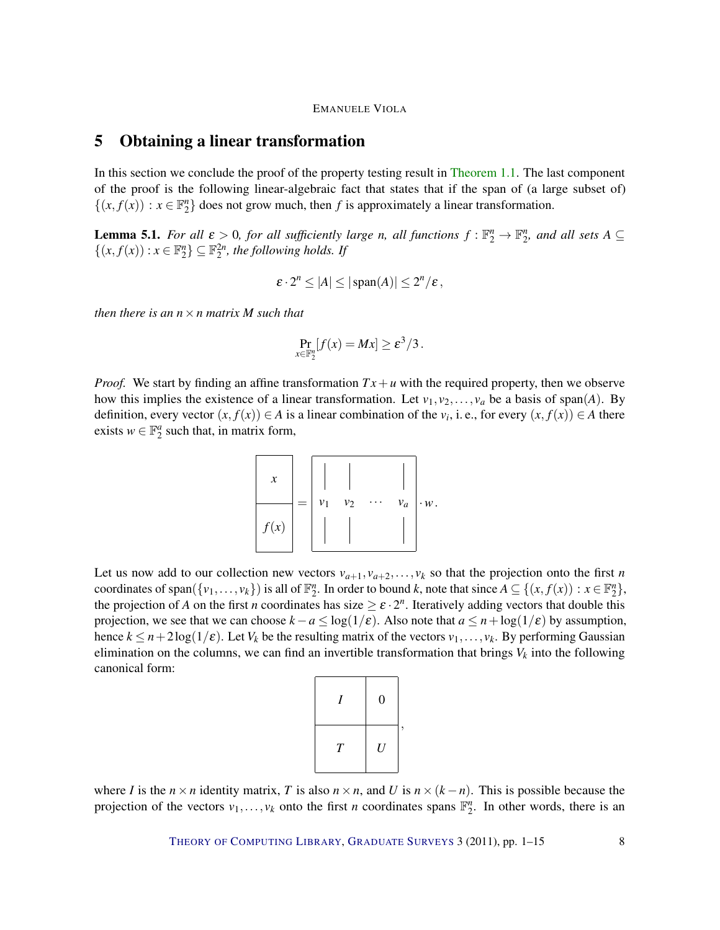# <span id="page-7-0"></span>5 Obtaining a linear transformation

In this section we conclude the proof of the property testing result in [Theorem](#page-1-0) [1.1.](#page-1-0) The last component of the proof is the following linear-algebraic fact that states that if the span of (a large subset of)  $\{(x, f(x)) : x \in \mathbb{F}_2^n\}$  does not grow much, then *f* is approximately a linear transformation.

<span id="page-7-1"></span>**Lemma 5.1.** For all  $\varepsilon > 0$ , for all sufficiently large *n*, all functions  $f : \mathbb{F}_2^n \to \mathbb{F}_2^n$ , and all sets  $A \subseteq$  $\{(x, f(x)) : x \in \mathbb{F}_2^n\} \subseteq \mathbb{F}_2^{2n}$ , the following holds. If

$$
\varepsilon \cdot 2^n \le |A| \le |\operatorname{span}(A)| \le 2^n/\varepsilon,
$$

*then there is an n*×*n matrix M such that*

$$
\Pr_{x\in\mathbb{F}_2^n}[f(x)=Mx]\geq \varepsilon^3/3.
$$

*Proof.* We start by finding an affine transformation  $Tx + u$  with the required property, then we observe how this implies the existence of a linear transformation. Let  $v_1, v_2, \ldots, v_a$  be a basis of span(*A*). By definition, every vector  $(x, f(x)) \in A$  is a linear combination of the  $v_i$ , i.e., for every  $(x, f(x)) \in A$  there exists  $w \in \mathbb{F}_2^a$  such that, in matrix form,



Let us now add to our collection new vectors  $v_{a+1}, v_{a+2}, \ldots, v_k$  so that the projection onto the first *n* coordinates of span({*v*<sub>1</sub>,...,*v*<sub>*k*</sub>}) is all of  $\mathbb{F}_2^n$ . In order to bound *k*, note that since  $A \subseteq \{(x, f(x)) : x \in \mathbb{F}_2^n\}$ , the projection of *A* on the first *n* coordinates has size  $\geq \varepsilon \cdot 2^n$ . Iteratively adding vectors that double this projection, we see that we can choose  $k - a \leq \log(1/\varepsilon)$ . Also note that  $a \leq n + \log(1/\varepsilon)$  by assumption, hence  $k \leq n + 2\log(1/\varepsilon)$ . Let  $V_k$  be the resulting matrix of the vectors  $v_1, \ldots, v_k$ . By performing Gaussian elimination on the columns, we can find an invertible transformation that brings  $V_k$  into the following canonical form:

| I | $\boldsymbol{0}$ |  |
|---|------------------|--|
| T | $\cal U$         |  |

where *I* is the  $n \times n$  identity matrix, *T* is also  $n \times n$ , and *U* is  $n \times (k - n)$ . This is possible because the projection of the vectors  $v_1, \ldots, v_k$  onto the first *n* coordinates spans  $\mathbb{F}_2^n$ . In other words, there is an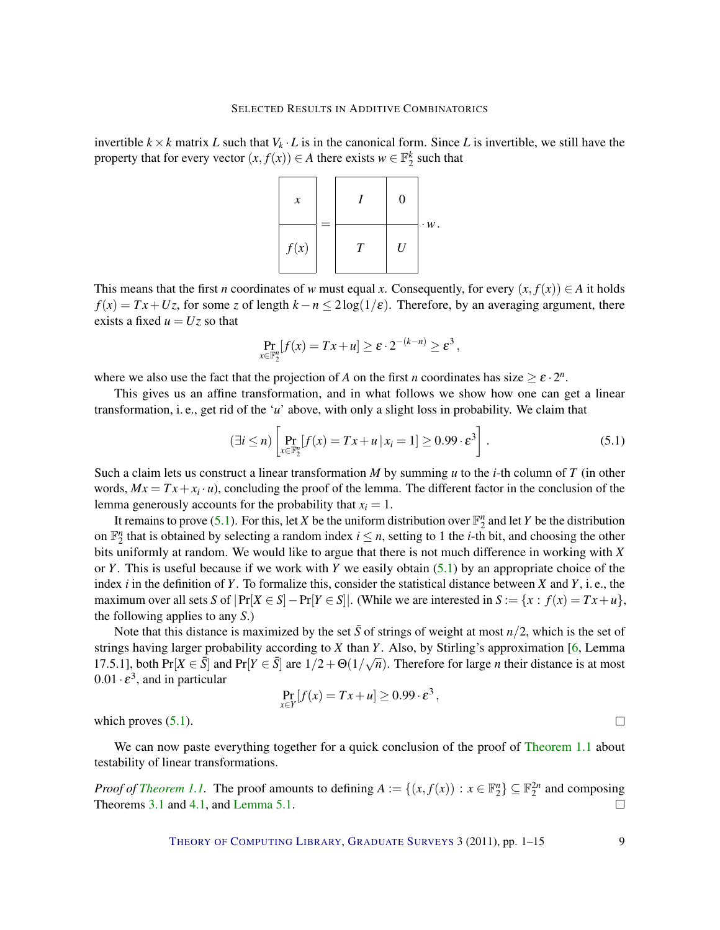<span id="page-8-1"></span>invertible  $k \times k$  matrix *L* such that  $V_k \cdot L$  is in the canonical form. Since *L* is invertible, we still have the property that for every vector  $(x, f(x)) \in A$  there exists  $w \in \mathbb{F}_2^k$  such that



This means that the first *n* coordinates of *w* must equal *x*. Consequently, for every  $(x, f(x)) \in A$  it holds  $f(x) = Tx + Uz$ , for some *z* of length  $k - n \le 2\log(1/\varepsilon)$ . Therefore, by an averaging argument, there exists a fixed  $u = Uz$  so that

$$
\Pr_{x\in\mathbb{F}_2^n}[f(x) = Tx + u] \ge \varepsilon \cdot 2^{-(k-n)} \ge \varepsilon^3,
$$

where we also use the fact that the projection of *A* on the first *n* coordinates has size  $\geq \varepsilon \cdot 2^n$ .

This gives us an affine transformation, and in what follows we show how one can get a linear transformation, i. e., get rid of the '*u*' above, with only a slight loss in probability. We claim that

<span id="page-8-0"></span>
$$
(\exists i \le n) \left[ \Pr_{x \in \mathbb{F}_2^n} [f(x) = Tx + u \, | \, x_i = 1] \ge 0.99 \cdot \varepsilon^3 \right]. \tag{5.1}
$$

,

Such a claim lets us construct a linear transformation *M* by summing *u* to the *i*-th column of *T* (in other words,  $Mx = Tx + x_i \cdot u$ , concluding the proof of the lemma. The different factor in the conclusion of the lemma generously accounts for the probability that  $x_i = 1$ .

It remains to prove [\(5.1\)](#page-8-0). For this, let *X* be the uniform distribution over  $\mathbb{F}_2^n$  and let *Y* be the distribution on  $\mathbb{F}_2^n$  that is obtained by selecting a random index  $i \leq n$ , setting to 1 the *i*-th bit, and choosing the other bits uniformly at random. We would like to argue that there is not much difference in working with *X* or *Y*. This is useful because if we work with *Y* we easily obtain [\(5.1\)](#page-8-0) by an appropriate choice of the index *i* in the definition of *Y*. To formalize this, consider the statistical distance between *X* and *Y*, i. e., the maximum over all sets *S* of  $|Pr[X \in S] - Pr[Y \in S]|$ . (While we are interested in  $S := \{x : f(x) = Tx + u\}$ , the following applies to any *S*.)

Note that this distance is maximized by the set  $\bar{S}$  of strings of weight at most  $n/2$ , which is the set of strings having larger probability according to *X* than *Y*. Also, by Stirling's approximation [\[6,](#page-12-3) Lemma 17.5.1], both Pr[ $X \in \overline{S}$ ] and Pr[ $Y \in \overline{S}$ ] are  $1/2 + \Theta(1/\sqrt{n})$ . Therefore for large *n* their distance is at most  $0.01 \cdot \varepsilon^3$ , and in particular

$$
\Pr_{x \in Y} [f(x) = Tx + u] \ge 0.99 \cdot \varepsilon^3
$$

which proves  $(5.1)$ .

We can now paste everything together for a quick conclusion of the proof of [Theorem](#page-1-0) [1.1](#page-1-0) about testability of linear transformations.

*Proof of [Theorem](#page-1-0) 1.1*. The proof amounts to defining  $A := \{(x, f(x)) : x \in \mathbb{F}_2^n\} \subseteq \mathbb{F}_2^{2n}$  and composing Theorems [3.1](#page-3-1) and [4.1,](#page-5-1) and [Lemma](#page-7-1) [5.1.](#page-7-1)  $\Box$ 

THEORY OF C[OMPUTING](http://dx.doi.org/10.4086/toc) LIBRARY, G[RADUATE](http://dx.doi.org/10.4086/toc.gs) SURVEYS 3 (2011), pp. 1–15 9

 $\Box$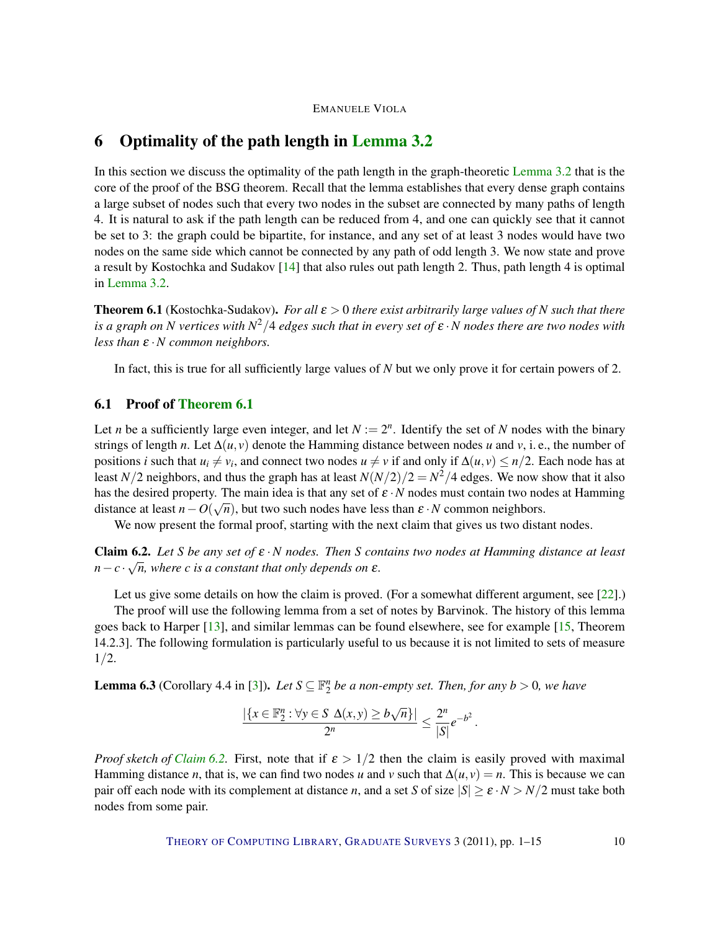# <span id="page-9-4"></span><span id="page-9-0"></span>6 Optimality of the path length in [Lemma](#page-3-2) [3.2](#page-3-2)

In this section we discuss the optimality of the path length in the graph-theoretic [Lemma](#page-3-2) [3.2](#page-3-2) that is the core of the proof of the BSG theorem. Recall that the lemma establishes that every dense graph contains a large subset of nodes such that every two nodes in the subset are connected by many paths of length 4. It is natural to ask if the path length can be reduced from 4, and one can quickly see that it cannot be set to 3: the graph could be bipartite, for instance, and any set of at least 3 nodes would have two nodes on the same side which cannot be connected by any path of odd length 3. We now state and prove a result by Kostochka and Sudakov [\[14\]](#page-13-10) that also rules out path length 2. Thus, path length 4 is optimal in [Lemma](#page-3-2) [3.2.](#page-3-2)

<span id="page-9-1"></span>**Theorem 6.1** (Kostochka-Sudakov). *For all*  $\varepsilon > 0$  *there exist arbitrarily large values of N such that there is a graph on N vertices with N* <sup>2</sup>/4 *edges such that in every set of* ε ·*N nodes there are two nodes with less than*  $ε \cdot N$  *common neighbors.* 

In fact, this is true for all sufficiently large values of *N* but we only prove it for certain powers of 2.

## 6.1 Proof of [Theorem](#page-9-1) [6.1](#page-9-1)

Let *n* be a sufficiently large even integer, and let  $N := 2<sup>n</sup>$ . Identify the set of *N* nodes with the binary strings of length *n*. Let  $\Delta(u, v)$  denote the Hamming distance between nodes *u* and *v*, i.e., the number of positions *i* such that  $u_i \neq v_i$ , and connect two nodes  $u \neq v$  if and only if  $\Delta(u, v) \leq n/2$ . Each node has at least *N*/2 neighbors, and thus the graph has at least  $N(N/2)/2 = N^2/4$  edges. We now show that it also has the desired property. The main idea is that any set of  $\varepsilon \cdot N$  nodes must contain two nodes at Hamming distance at least  $n - O(\sqrt{n})$ , but two such nodes have less than  $\varepsilon \cdot N$  common neighbors.

We now present the formal proof, starting with the next claim that gives us two distant nodes.

<span id="page-9-2"></span>Claim 6.2. *Let S be any set of* ε ·*N nodes. Then S contains two nodes at Hamming distance at least* √  $n - c \cdot \sqrt{n}$ , where *c* is a constant that only depends on  $\varepsilon$ .

Let us give some details on how the claim is proved. (For a somewhat different argument, see [\[22\]](#page-13-3).) The proof will use the following lemma from a set of notes by Barvinok. The history of this lemma goes back to Harper [\[13\]](#page-13-13), and similar lemmas can be found elsewhere, see for example [\[15,](#page-13-14) Theorem 14.2.3]. The following formulation is particularly useful to us because it is not limited to sets of measure 1/2.

<span id="page-9-3"></span>**Lemma 6.3** (Corollary 4.4 in [\[3\]](#page-12-4)). Let  $S \subseteq \mathbb{F}_2^n$  be a non-empty set. Then, for any  $b > 0$ , we have

$$
\frac{|\{x \in \mathbb{F}_2^n : \forall y \in S \ \Delta(x, y) \ge b\sqrt{n}\}|}{2^n} \le \frac{2^n}{|S|} e^{-b^2}.
$$

*Proof sketch of [Claim](#page-9-2) [6.2.](#page-9-2)* First, note that if  $\varepsilon > 1/2$  then the claim is easily proved with maximal Hamming distance *n*, that is, we can find two nodes *u* and *v* such that  $\Delta(u, v) = n$ . This is because we can pair off each node with its complement at distance *n*, and a set *S* of size  $|S| \ge \varepsilon \cdot N > N/2$  must take both nodes from some pair.

THEORY OF C[OMPUTING](http://dx.doi.org/10.4086/toc) LIBRARY, G[RADUATE](http://dx.doi.org/10.4086/toc.gs) SURVEYS 3 (2011), pp. 1–15 10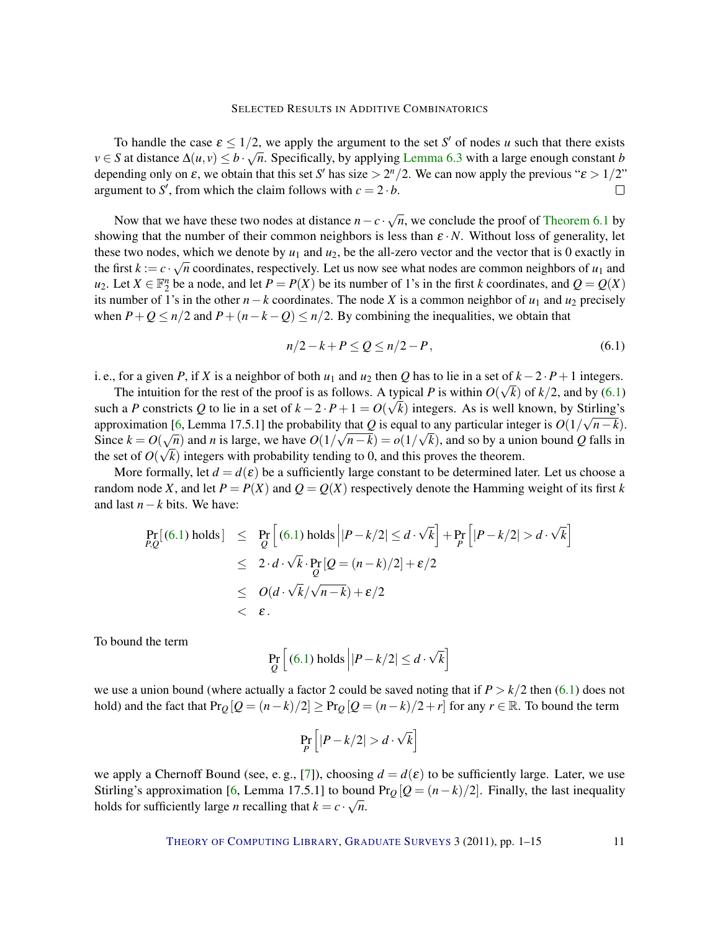<span id="page-10-1"></span>To handle the case  $\varepsilon \leq 1/2$ , we apply the argument to the set *S'* of nodes *u* such that there exists *v* ∈ *S* at distance  $\Delta(u, v) \le b \cdot \sqrt{n}$ . Specifically, by applying [Lemma](#page-9-3) [6.3](#page-9-3) with a large enough constant *b* depending only on  $\varepsilon$ , we obtain that this set *S'* has size  $> 2<sup>n</sup>/2$ . We can now apply the previous " $\varepsilon > 1/2$ " argument to S', from which the claim follows with  $c = 2 \cdot b$ .  $\Box$ 

Now that we have these two nodes at distance  $n - c \cdot \sqrt{ }$ *n*, we conclude the proof of [Theorem](#page-9-1) [6.1](#page-9-1) by showing that the number of their common neighbors is less than  $\varepsilon \cdot N$ . Without loss of generality, let these two nodes, which we denote by  $u_1$  and  $u_2$ , be the all-zero vector and the vector that is 0 exactly in the first  $k := c \cdot \sqrt{n}$  coordinates, respectively. Let us now see what nodes are common neighbors of  $u_1$  and  $u_2$ . Let  $X \in \mathbb{F}_2^n$  be a node, and let  $P = P(X)$  be its number of 1's in the first *k* coordinates, and  $Q = Q(X)$ its number of 1's in the other  $n-k$  coordinates. The node *X* is a common neighbor of  $u_1$  and  $u_2$  precisely when  $P + Q \le n/2$  and  $P + (n - k - Q) \le n/2$ . By combining the inequalities, we obtain that

<span id="page-10-0"></span>
$$
n/2 - k + P \le Q \le n/2 - P,\tag{6.1}
$$

i. e., for a given *P*, if *X* is a neighbor of both  $u_1$  and  $u_2$  then *Q* has to lie in a set of  $k - 2 \cdot P + 1$  integers.

The intuition for the rest of the proof is as follows. A typical *P* is within  $O(\sqrt{k})$  of  $k/2$ , and by [\(6.1\)](#page-10-0) such a *P* constricts *Q* to lie in a set of  $k - 2 \cdot P + 1 = O(\sqrt{k})$  integers. As is well known, by Stirling's approximation [\[6,](#page-12-3) Lemma 17.5.1] the probability that *Q* is equal to any particular integer is  $O(1/\sqrt{n-k})$ . Since  $k = O(\sqrt{n})$  and *n* is large, we have  $O(1/\sqrt{n-k}) = o(1/\sqrt{k})$ , and so by a union bound *Q* falls in the set of  $O(\sqrt{k})$  integers with probability tending to 0, and this proves the theorem.

More formally, let  $d = d(\varepsilon)$  be a sufficiently large constant to be determined later. Let us choose a random node *X*, and let  $P = P(X)$  and  $Q = Q(X)$  respectively denote the Hamming weight of its first *k* and last *n*−*k* bits. We have:

$$
\Pr_{P,Q}[(6.1) \text{ holds}] \leq \Pr_{Q}[(6.1) \text{ holds} |P-k/2| \leq d \cdot \sqrt{k}] + \Pr_{P} [P-k/2| > d \cdot \sqrt{k}]
$$
  
\n
$$
\leq 2 \cdot d \cdot \sqrt{k} \cdot \Pr_{Q} [Q = (n-k)/2] + \varepsilon/2
$$
  
\n
$$
\leq O(d \cdot \sqrt{k}/\sqrt{n-k}) + \varepsilon/2
$$
  
\n
$$
< \varepsilon.
$$

To bound the term

$$
\Pr_{Q}\left[\left(6.1\right) \text{ holds} \left| \left| P - k/2 \right| \leq d \cdot \sqrt{k} \right]
$$

we use a union bound (where actually a factor 2 could be saved noting that if  $P > k/2$  then [\(6.1\)](#page-10-0) does not hold) and the fact that  $Pr_Q[Q = (n-k)/2] \ge Pr_Q[Q = (n-k)/2 + r]$  for any  $r \in \mathbb{R}$ . To bound the term

$$
\Pr_P\left[|P - k/2| > d \cdot \sqrt{k}\right]
$$

we apply a Chernoff Bound (see, e.g., [\[7\]](#page-12-5)), choosing  $d = d(\varepsilon)$  to be sufficiently large. Later, we use Stirling's approximation [\[6,](#page-12-3) Lemma 17.5.1] to bound Pr<sub>Q</sub> [ $Q = (n-k)/2$ ]. Finally, the last inequality holds for sufficiently large *n* recalling that  $k = c \cdot \sqrt{n}$ .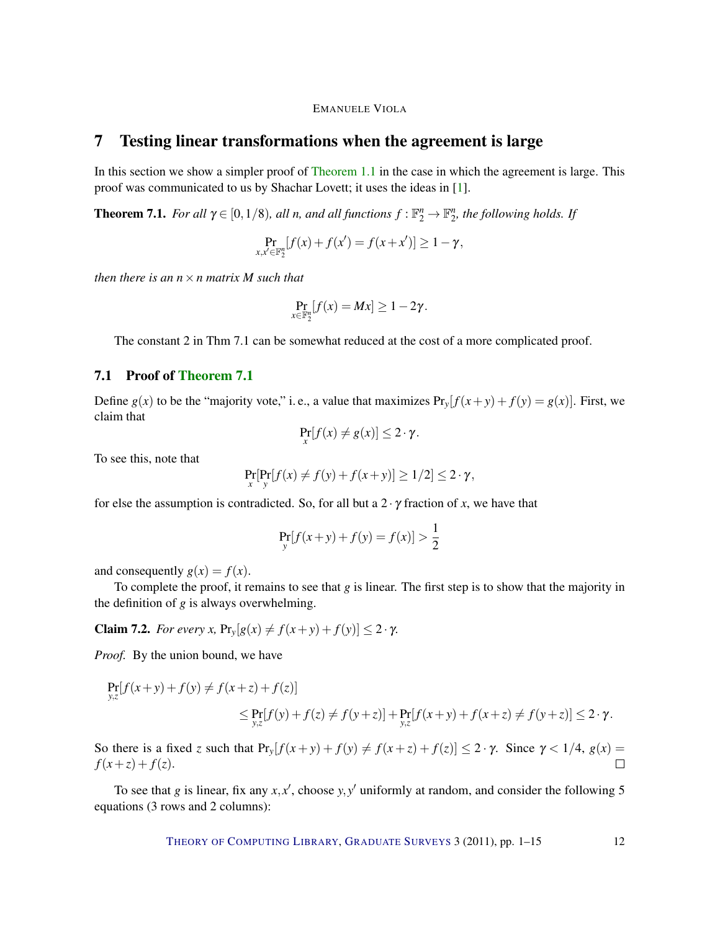## <span id="page-11-3"></span><span id="page-11-0"></span>7 Testing linear transformations when the agreement is large

In this section we show a simpler proof of [Theorem](#page-1-0) [1.1](#page-1-0) in the case in which the agreement is large. This proof was communicated to us by Shachar Lovett; it uses the ideas in [\[1\]](#page-12-6).

<span id="page-11-1"></span>**Theorem 7.1.** *For all*  $\gamma \in [0, 1/8)$ *, all n, and all functions*  $f : \mathbb{F}_2^n \to \mathbb{F}_2^n$ *, the following holds. If* 

$$
\Pr_{x,x' \in \mathbb{F}_2^n} [f(x) + f(x') = f(x + x')] \ge 1 - \gamma,
$$

*then there is an n*×*n matrix M such that*

$$
\Pr_{x\in\mathbb{F}_2^n}[f(x)=Mx]\geq 1-2\gamma.
$$

The constant 2 in Thm 7.1 can be somewhat reduced at the cost of a more complicated proof.

## 7.1 Proof of [Theorem](#page-11-1) [7.1](#page-11-1)

Define  $g(x)$  to be the "majority vote," i.e., a value that maximizes  $Pr_y[f(x+y) + f(y) = g(x)]$ . First, we claim that

$$
\Pr_{x}[f(x) \neq g(x)] \leq 2 \cdot \gamma.
$$

To see this, note that

$$
\Pr_x[\Pr_y[f(x) \neq f(y) + f(x+y)] \ge 1/2] \le 2 \cdot \gamma,
$$

for else the assumption is contradicted. So, for all but a  $2 \cdot \gamma$  fraction of *x*, we have that

$$
\Pr_{y}[f(x+y) + f(y) = f(x)] > \frac{1}{2}
$$

and consequently  $g(x) = f(x)$ .

To complete the proof, it remains to see that  $g$  is linear. The first step is to show that the majority in the definition of *g* is always overwhelming.

<span id="page-11-2"></span>**Claim 7.2.** *For every x,*  $Pr_y[g(x) \neq f(x+y) + f(y)] \leq 2 \cdot \gamma$ *.* 

*Proof.* By the union bound, we have

$$
\Pr_{y,z}[f(x+y) + f(y) \neq f(x+z) + f(z)]
$$
\n
$$
\leq \Pr_{y,z}[f(y) + f(z) \neq f(y+z)] + \Pr_{y,z}[f(x+y) + f(x+z) \neq f(y+z)] \leq 2 \cdot \gamma.
$$

So there is a fixed *z* such that  $Pr_y[f(x+y) + f(y) \neq f(x+z) + f(z)] \leq 2 \cdot \gamma$ . Since  $\gamma < 1/4$ ,  $g(x) =$  $f(x+z) + f(z)$ .  $\Box$ 

To see that *g* is linear, fix any  $x$ ,  $x'$ , choose  $y$ ,  $y'$  uniformly at random, and consider the following 5 equations (3 rows and 2 columns):

THEORY OF C[OMPUTING](http://dx.doi.org/10.4086/toc) LIBRARY, G[RADUATE](http://dx.doi.org/10.4086/toc.gs) SURVEYS 3 (2011), pp. 1-15 12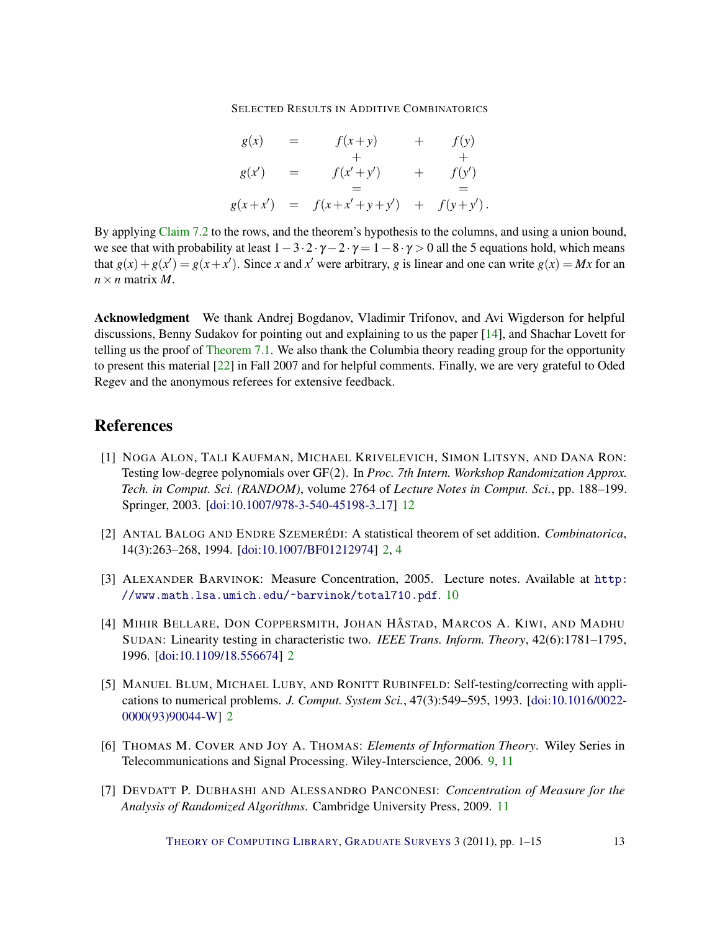$$
g(x) = f(x+y) + f(y) \n g(x') = f(x'+y') + f(y') \n = g(x+x') = f(x+x'+y+y') + f(y+y').
$$

<span id="page-12-7"></span>By applying [Claim](#page-11-2) [7.2](#page-11-2) to the rows, and the theorem's hypothesis to the columns, and using a union bound, we see that with probability at least  $1-3\cdot 2\cdot \gamma-2\cdot \gamma=1-8\cdot \gamma>0$  all the 5 equations hold, which means that  $g(x) + g(x') = g(x + x')$ . Since *x* and *x*<sup> $\prime$ </sup> were arbitrary, *g* is linear and one can write  $g(x) = Mx$  for an  $n \times n$  matrix *M*.

Acknowledgment We thank Andrej Bogdanov, Vladimir Trifonov, and Avi Wigderson for helpful discussions, Benny Sudakov for pointing out and explaining to us the paper [\[14\]](#page-13-10), and Shachar Lovett for telling us the proof of [Theorem](#page-11-1) [7.1.](#page-11-1) We also thank the Columbia theory reading group for the opportunity to present this material [\[22\]](#page-13-3) in Fall 2007 and for helpful comments. Finally, we are very grateful to Oded Regev and the anonymous referees for extensive feedback.

# References

- <span id="page-12-6"></span>[1] NOGA ALON, TALI KAUFMAN, MICHAEL KRIVELEVICH, SIMON LITSYN, AND DANA RON: Testing low-degree polynomials over GF(2). In *Proc. 7th Intern. Workshop Randomization Approx. Tech. in Comput. Sci. (RANDOM)*, volume 2764 of *Lecture Notes in Comput. Sci.*, pp. 188–199. Springer, 2003. [\[doi:10.1007/978-3-540-45198-3](http://dx.doi.org/10.1007/978-3-540-45198-3_17) 17] [12](#page-11-3)
- <span id="page-12-2"></span>[2] ANTAL BALOG AND ENDRE SZEMERÉDI: A statistical theorem of set addition. *Combinatorica*, 14(3):263–268, 1994. [\[doi:10.1007/BF01212974\]](http://dx.doi.org/10.1007/BF01212974) [2,](#page-1-2) [4](#page-3-4)
- <span id="page-12-4"></span>[3] ALEXANDER BARVINOK: Measure Concentration, 2005. Lecture notes. Available at [http:](http://www.math.lsa.umich.edu/~barvinok/total710.pdf) [//www.math.lsa.umich.edu/~barvinok/total710.pdf](http://www.math.lsa.umich.edu/~barvinok/total710.pdf). [10](#page-9-4)
- <span id="page-12-1"></span>[4] MIHIR BELLARE, DON COPPERSMITH, JOHAN HÅSTAD, MARCOS A. KIWI, AND MADHU SUDAN: Linearity testing in characteristic two. *IEEE Trans. Inform. Theory*, 42(6):1781–1795, 1996. [\[doi:10.1109/18.556674\]](http://dx.doi.org/10.1109/18.556674) [2](#page-1-2)
- <span id="page-12-0"></span>[5] MANUEL BLUM, MICHAEL LUBY, AND RONITT RUBINFELD: Self-testing/correcting with applications to numerical problems. *J. Comput. System Sci.*, 47(3):549–595, 1993. [\[doi:10.1016/0022-](http://dx.doi.org/10.1016/0022-0000(93)90044-W) [0000\(93\)90044-W\]](http://dx.doi.org/10.1016/0022-0000(93)90044-W) [2](#page-1-2)
- <span id="page-12-3"></span>[6] THOMAS M. COVER AND JOY A. THOMAS: *Elements of Information Theory*. Wiley Series in Telecommunications and Signal Processing. Wiley-Interscience, 2006. [9,](#page-8-1) [11](#page-10-1)
- <span id="page-12-5"></span>[7] DEVDATT P. DUBHASHI AND ALESSANDRO PANCONESI: *Concentration of Measure for the Analysis of Randomized Algorithms*. Cambridge University Press, 2009. [11](#page-10-1)

THEORY OF C[OMPUTING](http://dx.doi.org/10.4086/toc) LIBRARY, G[RADUATE](http://dx.doi.org/10.4086/toc.gs) SURVEYS 3 (2011), pp. 1-15 13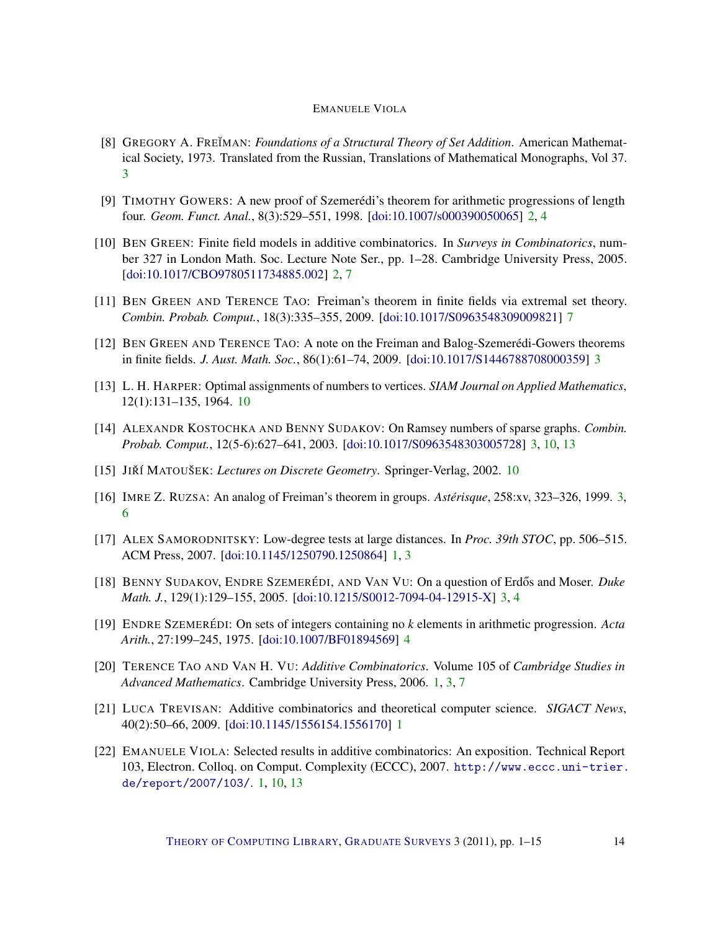- <span id="page-13-7"></span>[8] GREGORY A. FRE˘IMAN: *Foundations of a Structural Theory of Set Addition*. American Mathematical Society, 1973. Translated from the Russian, Translations of Mathematical Monographs, Vol 37. [3](#page-2-3)
- <span id="page-13-5"></span>[9] TIMOTHY GOWERS: A new proof of Szemerédi's theorem for arithmetic progressions of length four. *Geom. Funct. Anal.*, 8(3):529–551, 1998. [\[doi:10.1007/s000390050065\]](http://dx.doi.org/10.1007/s000390050065) [2,](#page-1-2) [4](#page-3-4)
- <span id="page-13-4"></span>[10] BEN GREEN: Finite field models in additive combinatorics. In *Surveys in Combinatorics*, number 327 in London Math. Soc. Lecture Note Ser., pp. 1–28. Cambridge University Press, 2005. [\[doi:10.1017/CBO9780511734885.002\]](http://dx.doi.org/10.1017/CBO9780511734885.002) [2,](#page-1-2) [7](#page-6-0)
- <span id="page-13-12"></span>[11] BEN GREEN AND TERENCE TAO: Freiman's theorem in finite fields via extremal set theory. *Combin. Probab. Comput.*, 18(3):335–355, 2009. [\[doi:10.1017/S0963548309009821\]](http://dx.doi.org/10.1017/S0963548309009821) [7](#page-6-0)
- <span id="page-13-8"></span>[12] BEN GREEN AND TERENCE TAO: A note on the Freiman and Balog-Szemeredi-Gowers theorems ´ in finite fields. *J. Aust. Math. Soc.*, 86(1):61–74, 2009. [\[doi:10.1017/S1446788708000359\]](http://dx.doi.org/10.1017/S1446788708000359) [3](#page-2-3)
- <span id="page-13-13"></span>[13] L. H. HARPER: Optimal assignments of numbers to vertices. *SIAM Journal on Applied Mathematics*, 12(1):131–135, 1964. [10](#page-9-4)
- <span id="page-13-10"></span>[14] ALEXANDR KOSTOCHKA AND BENNY SUDAKOV: On Ramsey numbers of sparse graphs. *Combin. Probab. Comput.*, 12(5-6):627–641, 2003. [\[doi:10.1017/S0963548303005728\]](http://dx.doi.org/10.1017/S0963548303005728) [3,](#page-2-3) [10,](#page-9-4) [13](#page-12-7)
- <span id="page-13-14"></span>[15] JIRˇ´I MATOUSEK ˇ : *Lectures on Discrete Geometry*. Springer-Verlag, 2002. [10](#page-9-4)
- <span id="page-13-6"></span>[16] IMRE Z. RUZSA: An analog of Freiman's theorem in groups. *Asterisque ´* , 258:xv, 323–326, 1999. [3,](#page-2-3) [6](#page-5-4)
- <span id="page-13-2"></span>[17] ALEX SAMORODNITSKY: Low-degree tests at large distances. In *Proc. 39th STOC*, pp. 506–515. ACM Press, 2007. [\[doi:10.1145/1250790.1250864\]](http://dx.doi.org/10.1145/1250790.1250864) [1,](#page-0-0) [3](#page-2-3)
- <span id="page-13-9"></span>[18] BENNY SUDAKOV, ENDRE SZEMERÉDI, AND VAN VU: On a question of Erdős and Moser. *Duke Math. J.*, 129(1):129–155, 2005. [\[doi:10.1215/S0012-7094-04-12915-X\]](http://dx.doi.org/10.1215/S0012-7094-04-12915-X) [3,](#page-2-3) [4](#page-3-4)
- <span id="page-13-11"></span>[19] ENDRE SZEMERÉDI: On sets of integers containing no *k* elements in arithmetic progression. *Acta Arith.*, 27:199–245, 1975. [\[doi:10.1007/BF01894569\]](http://dx.doi.org/10.1007/BF01894569) [4](#page-3-4)
- <span id="page-13-0"></span>[20] TERENCE TAO AND VAN H. VU: *Additive Combinatorics*. Volume 105 of *Cambridge Studies in Advanced Mathematics*. Cambridge University Press, 2006. [1,](#page-0-0) [3,](#page-2-3) [7](#page-6-0)
- <span id="page-13-1"></span>[21] LUCA TREVISAN: Additive combinatorics and theoretical computer science. *SIGACT News*, 40(2):50–66, 2009. [\[doi:10.1145/1556154.1556170\]](http://dx.doi.org/10.1145/1556154.1556170) [1](#page-0-0)
- <span id="page-13-3"></span>[22] EMANUELE VIOLA: Selected results in additive combinatorics: An exposition. Technical Report 103, Electron. Colloq. on Comput. Complexity (ECCC), 2007. [http://www.eccc.uni-trier.](http://www.eccc.uni-trier.de/report/2007/103/) [de/report/2007/103/](http://www.eccc.uni-trier.de/report/2007/103/). [1,](#page-0-0) [10,](#page-9-4) [13](#page-12-7)